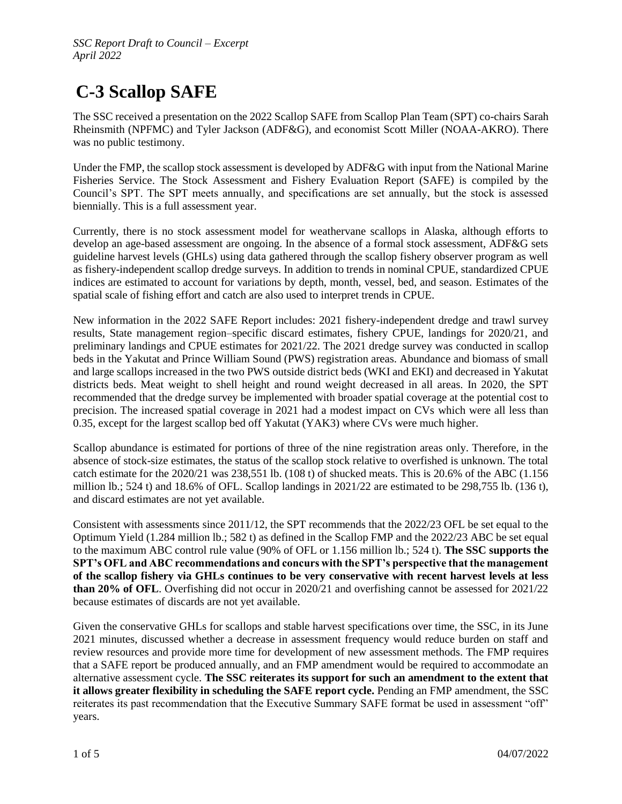## **C-3 Scallop SAFE**

The SSC received a presentation on the 2022 Scallop SAFE from Scallop Plan Team (SPT) co-chairs Sarah Rheinsmith (NPFMC) and Tyler Jackson (ADF&G), and economist Scott Miller (NOAA-AKRO). There was no public testimony.

Under the FMP, the scallop stock assessment is developed by ADF&G with input from the National Marine Fisheries Service. The Stock Assessment and Fishery Evaluation Report (SAFE) is compiled by the Council's SPT. The SPT meets annually, and specifications are set annually, but the stock is assessed biennially. This is a full assessment year.

Currently, there is no stock assessment model for weathervane scallops in Alaska, although efforts to develop an age-based assessment are ongoing. In the absence of a formal stock assessment, ADF&G sets guideline harvest levels (GHLs) using data gathered through the scallop fishery observer program as well as fishery-independent scallop dredge surveys. In addition to trends in nominal CPUE, standardized CPUE indices are estimated to account for variations by depth, month, vessel, bed, and season. Estimates of the spatial scale of fishing effort and catch are also used to interpret trends in CPUE.

New information in the 2022 SAFE Report includes: 2021 fishery-independent dredge and trawl survey results, State management region–specific discard estimates, fishery CPUE, landings for 2020/21, and preliminary landings and CPUE estimates for 2021/22. The 2021 dredge survey was conducted in scallop beds in the Yakutat and Prince William Sound (PWS) registration areas. Abundance and biomass of small and large scallops increased in the two PWS outside district beds (WKI and EKI) and decreased in Yakutat districts beds. Meat weight to shell height and round weight decreased in all areas. In 2020, the SPT recommended that the dredge survey be implemented with broader spatial coverage at the potential cost to precision. The increased spatial coverage in 2021 had a modest impact on CVs which were all less than 0.35, except for the largest scallop bed off Yakutat (YAK3) where CVs were much higher.

Scallop abundance is estimated for portions of three of the nine registration areas only. Therefore, in the absence of stock-size estimates, the status of the scallop stock relative to overfished is unknown. The total catch estimate for the  $2020/21$  was  $238,551$  lb. (108 t) of shucked meats. This is  $20.6%$  of the ABC (1.156 million lb.; 524 t) and 18.6% of OFL. Scallop landings in  $2021/22$  are estimated to be 298,755 lb. (136 t), and discard estimates are not yet available.

Consistent with assessments since 2011/12, the SPT recommends that the 2022/23 OFL be set equal to the Optimum Yield (1.284 million lb.; 582 t) as defined in the Scallop FMP and the 2022/23 ABC be set equal to the maximum ABC control rule value (90% of OFL or 1.156 million lb.; 524 t). **The SSC supports the SPT's OFL and ABC recommendations and concurs with the SPT's perspective that the management of the scallop fishery via GHLs continues to be very conservative with recent harvest levels at less than 20% of OFL**. Overfishing did not occur in 2020/21 and overfishing cannot be assessed for 2021/22 because estimates of discards are not yet available.

Given the conservative GHLs for scallops and stable harvest specifications over time, the SSC, in its June 2021 minutes, discussed whether a decrease in assessment frequency would reduce burden on staff and review resources and provide more time for development of new assessment methods. The FMP requires that a SAFE report be produced annually, and an FMP amendment would be required to accommodate an alternative assessment cycle. **The SSC reiterates its support for such an amendment to the extent that it allows greater flexibility in scheduling the SAFE report cycle.** Pending an FMP amendment, the SSC reiterates its past recommendation that the Executive Summary SAFE format be used in assessment "off" years.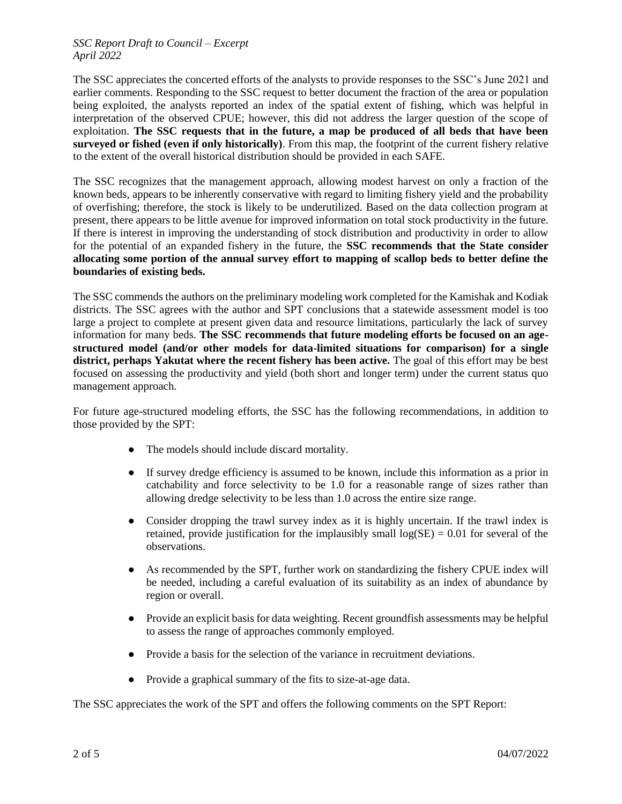## *SSC Report Draft to Council – Excerpt April 2022*

The SSC appreciates the concerted efforts of the analysts to provide responses to the SSC's June 2021 and earlier comments. Responding to the SSC request to better document the fraction of the area or population being exploited, the analysts reported an index of the spatial extent of fishing, which was helpful in interpretation of the observed CPUE; however, this did not address the larger question of the scope of exploitation. **The SSC requests that in the future, a map be produced of all beds that have been surveyed or fished (even if only historically)**. From this map, the footprint of the current fishery relative to the extent of the overall historical distribution should be provided in each SAFE.

The SSC recognizes that the management approach, allowing modest harvest on only a fraction of the known beds, appears to be inherently conservative with regard to limiting fishery yield and the probability of overfishing; therefore, the stock is likely to be underutilized. Based on the data collection program at present, there appears to be little avenue for improved information on total stock productivity in the future. If there is interest in improving the understanding of stock distribution and productivity in order to allow for the potential of an expanded fishery in the future, the **SSC recommends that the State consider allocating some portion of the annual survey effort to mapping of scallop beds to better define the boundaries of existing beds.**

The SSC commends the authors on the preliminary modeling work completed for the Kamishak and Kodiak districts. The SSC agrees with the author and SPT conclusions that a statewide assessment model is too large a project to complete at present given data and resource limitations, particularly the lack of survey information for many beds. **The SSC recommends that future modeling efforts be focused on an agestructured model (and/or other models for data-limited situations for comparison) for a single district, perhaps Yakutat where the recent fishery has been active.** The goal of this effort may be best focused on assessing the productivity and yield (both short and longer term) under the current status quo management approach.

For future age-structured modeling efforts, the SSC has the following recommendations, in addition to those provided by the SPT:

- The models should include discard mortality.
- If survey dredge efficiency is assumed to be known, include this information as a prior in catchability and force selectivity to be 1.0 for a reasonable range of sizes rather than allowing dredge selectivity to be less than 1.0 across the entire size range.
- Consider dropping the trawl survey index as it is highly uncertain. If the trawl index is retained, provide justification for the implausibly small  $log(SE) = 0.01$  for several of the observations.
- As recommended by the SPT, further work on standardizing the fishery CPUE index will be needed, including a careful evaluation of its suitability as an index of abundance by region or overall.
- Provide an explicit basis for data weighting. Recent groundfish assessments may be helpful to assess the range of approaches commonly employed.
- Provide a basis for the selection of the variance in recruitment deviations.
- Provide a graphical summary of the fits to size-at-age data.

The SSC appreciates the work of the SPT and offers the following comments on the SPT Report: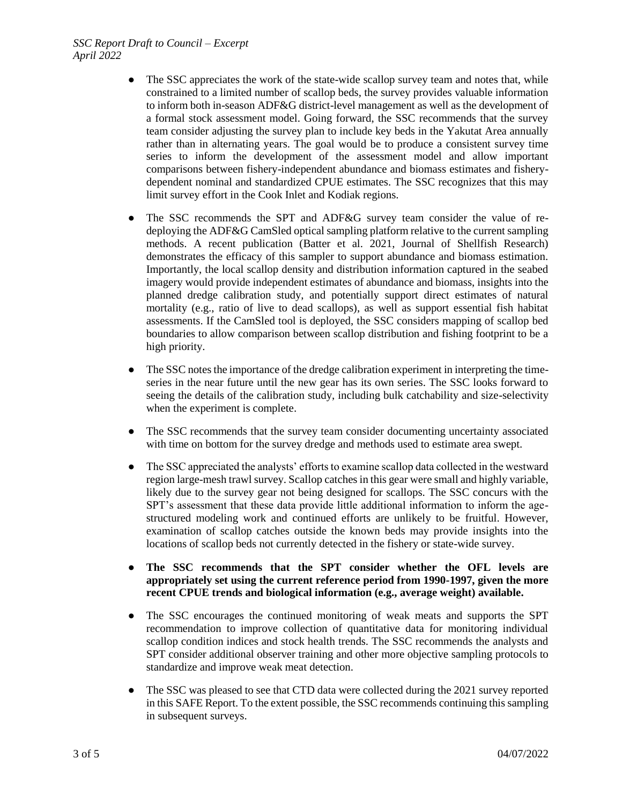## *SSC Report Draft to Council – Excerpt April 2022*

- The SSC appreciates the work of the state-wide scallop survey team and notes that, while constrained to a limited number of scallop beds, the survey provides valuable information to inform both in-season ADF&G district-level management as well as the development of a formal stock assessment model. Going forward, the SSC recommends that the survey team consider adjusting the survey plan to include key beds in the Yakutat Area annually rather than in alternating years. The goal would be to produce a consistent survey time series to inform the development of the assessment model and allow important comparisons between fishery-independent abundance and biomass estimates and fisherydependent nominal and standardized CPUE estimates. The SSC recognizes that this may limit survey effort in the Cook Inlet and Kodiak regions.
- The SSC recommends the SPT and ADF&G survey team consider the value of redeploying the ADF&G CamSled optical sampling platform relative to the current sampling methods. A recent publication (Batter et al. 2021, Journal of Shellfish Research) demonstrates the efficacy of this sampler to support abundance and biomass estimation. Importantly, the local scallop density and distribution information captured in the seabed imagery would provide independent estimates of abundance and biomass, insights into the planned dredge calibration study, and potentially support direct estimates of natural mortality (e.g., ratio of live to dead scallops), as well as support essential fish habitat assessments. If the CamSled tool is deployed, the SSC considers mapping of scallop bed boundaries to allow comparison between scallop distribution and fishing footprint to be a high priority.
- The SSC notes the importance of the dredge calibration experiment in interpreting the timeseries in the near future until the new gear has its own series. The SSC looks forward to seeing the details of the calibration study, including bulk catchability and size-selectivity when the experiment is complete.
- The SSC recommends that the survey team consider documenting uncertainty associated with time on bottom for the survey dredge and methods used to estimate area swept.
- The SSC appreciated the analysts' efforts to examine scallop data collected in the westward region large-mesh trawl survey. Scallop catches in this gear were small and highly variable, likely due to the survey gear not being designed for scallops. The SSC concurs with the SPT's assessment that these data provide little additional information to inform the agestructured modeling work and continued efforts are unlikely to be fruitful. However, examination of scallop catches outside the known beds may provide insights into the locations of scallop beds not currently detected in the fishery or state-wide survey.
- **The SSC recommends that the SPT consider whether the OFL levels are appropriately set using the current reference period from 1990-1997, given the more recent CPUE trends and biological information (e.g., average weight) available.**
- The SSC encourages the continued monitoring of weak meats and supports the SPT recommendation to improve collection of quantitative data for monitoring individual scallop condition indices and stock health trends. The SSC recommends the analysts and SPT consider additional observer training and other more objective sampling protocols to standardize and improve weak meat detection.
- The SSC was pleased to see that CTD data were collected during the 2021 survey reported in this SAFE Report. To the extent possible, the SSC recommends continuing this sampling in subsequent surveys.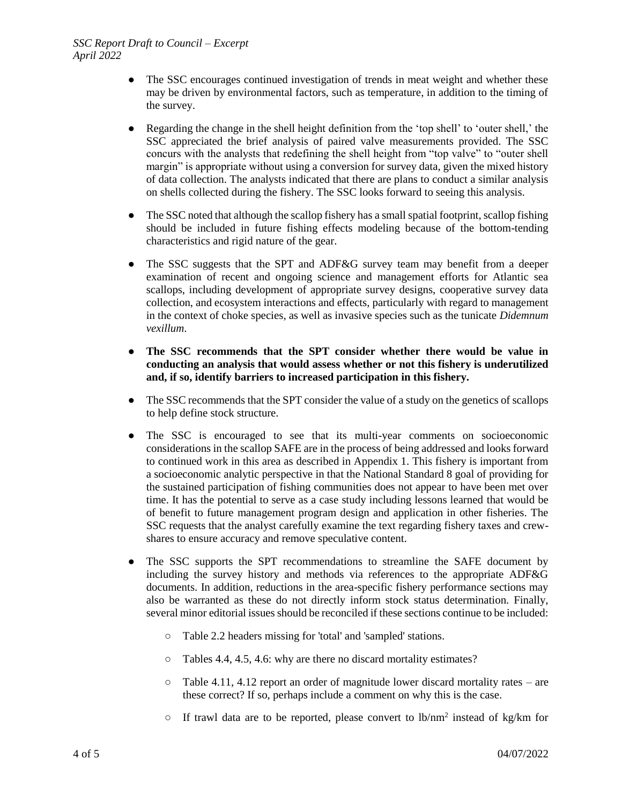- The SSC encourages continued investigation of trends in meat weight and whether these may be driven by environmental factors, such as temperature, in addition to the timing of the survey.
- Regarding the change in the shell height definition from the 'top shell' to 'outer shell,' the SSC appreciated the brief analysis of paired valve measurements provided. The SSC concurs with the analysts that redefining the shell height from "top valve" to "outer shell margin" is appropriate without using a conversion for survey data, given the mixed history of data collection. The analysts indicated that there are plans to conduct a similar analysis on shells collected during the fishery. The SSC looks forward to seeing this analysis.
- The SSC noted that although the scallop fishery has a small spatial footprint, scallop fishing should be included in future fishing effects modeling because of the bottom-tending characteristics and rigid nature of the gear.
- The SSC suggests that the SPT and ADF&G survey team may benefit from a deeper examination of recent and ongoing science and management efforts for Atlantic sea scallops, including development of appropriate survey designs, cooperative survey data collection, and ecosystem interactions and effects, particularly with regard to management in the context of choke species, as well as invasive species such as the tunicate *Didemnum vexillum*.
- **The SSC recommends that the SPT consider whether there would be value in conducting an analysis that would assess whether or not this fishery is underutilized and, if so, identify barriers to increased participation in this fishery.**
- The SSC recommends that the SPT consider the value of a study on the genetics of scallops to help define stock structure.
- The SSC is encouraged to see that its multi-year comments on socioeconomic considerations in the scallop SAFE are in the process of being addressed and looks forward to continued work in this area as described in Appendix 1. This fishery is important from a socioeconomic analytic perspective in that the National Standard 8 goal of providing for the sustained participation of fishing communities does not appear to have been met over time. It has the potential to serve as a case study including lessons learned that would be of benefit to future management program design and application in other fisheries. The SSC requests that the analyst carefully examine the text regarding fishery taxes and crewshares to ensure accuracy and remove speculative content.
- The SSC supports the SPT recommendations to streamline the SAFE document by including the survey history and methods via references to the appropriate ADF&G documents. In addition, reductions in the area-specific fishery performance sections may also be warranted as these do not directly inform stock status determination. Finally, several minor editorial issues should be reconciled if these sections continue to be included:
	- Table 2.2 headers missing for 'total' and 'sampled' stations.
	- Tables 4.4, 4.5, 4.6: why are there no discard mortality estimates?
	- Table 4.11, 4.12 report an order of magnitude lower discard mortality rates are these correct? If so, perhaps include a comment on why this is the case.
	- $\circ$  If trawl data are to be reported, please convert to lb/nm<sup>2</sup> instead of kg/km for